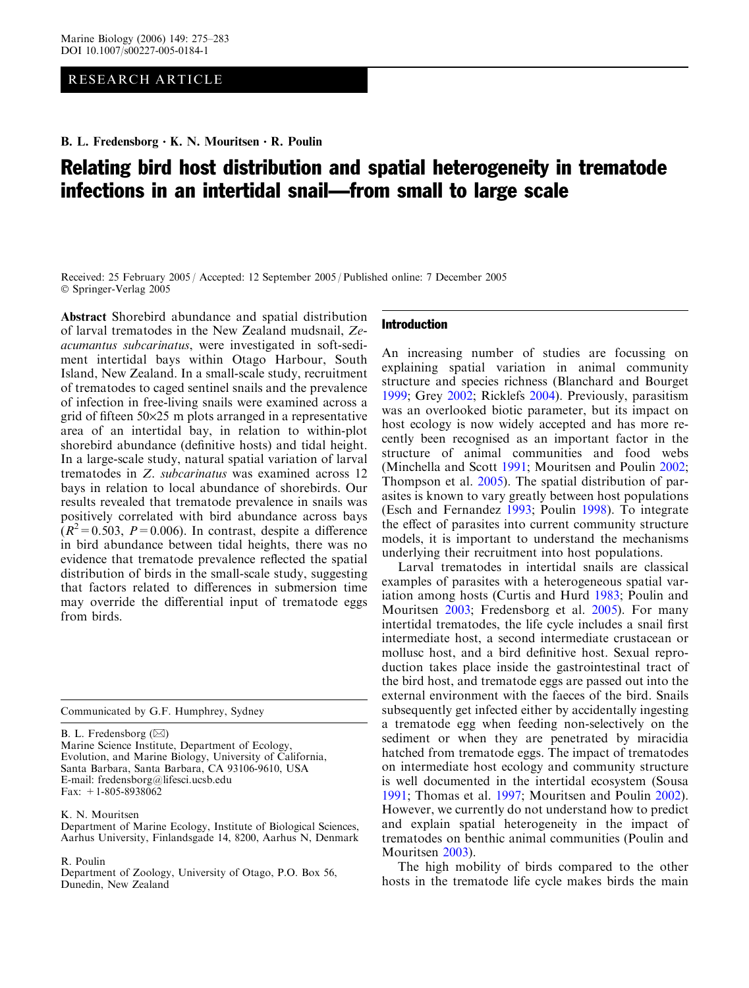# RESEARCH ARTICLE

B. L. Fredensborg · K. N. Mouritsen · R. Poulin

# Relating bird host distribution and spatial heterogeneity in trematode infections in an intertidal snail—from small to large scale

Received: 25 February 2005 / Accepted: 12 September 2005 / Published online: 7 December 2005 Springer-Verlag 2005

Abstract Shorebird abundance and spatial distribution of larval trematodes in the New Zealand mudsnail, Zeacumantus subcarinatus, were investigated in soft-sediment intertidal bays within Otago Harbour, South Island, New Zealand. In a small-scale study, recruitment of trematodes to caged sentinel snails and the prevalence of infection in free-living snails were examined across a grid of fifteen  $50\times25$  m plots arranged in a representative area of an intertidal bay, in relation to within-plot shorebird abundance (definitive hosts) and tidal height. In a large-scale study, natural spatial variation of larval trematodes in Z. subcarinatus was examined across 12 bays in relation to local abundance of shorebirds. Our results revealed that trematode prevalence in snails was positively correlated with bird abundance across bays  $(R^2 = 0.503, P = 0.006)$ . In contrast, despite a difference in bird abundance between tidal heights, there was no evidence that trematode prevalence reflected the spatial distribution of birds in the small-scale study, suggesting that factors related to differences in submersion time may override the differential input of trematode eggs from birds.

Communicated by G.F. Humphrey, Sydney

B. L. Fredensborg  $(\boxtimes)$ 

Marine Science Institute, Department of Ecology, Evolution, and Marine Biology, University of California, Santa Barbara, Santa Barbara, CA 93106-9610, USA E-mail: fredensborg@lifesci.ucsb.edu Fax: +1-805-8938062

#### K. N. Mouritsen

Department of Marine Ecology, Institute of Biological Sciences, Aarhus University, Finlandsgade 14, 8200, Aarhus N, Denmark

#### R. Poulin

Department of Zoology, University of Otago, P.O. Box 56, Dunedin, New Zealand

### Introduction

An increasing number of studies are focussing on explaining spatial variation in animal community structure and species richness (Blanchard and Bourget [1999;](#page-8-0) Grey [2002;](#page-8-0) Ricklefs [2004](#page-8-0)). Previously, parasitism was an overlooked biotic parameter, but its impact on host ecology is now widely accepted and has more recently been recognised as an important factor in the structure of animal communities and food webs (Minchella and Scott [1991;](#page-8-0) Mouritsen and Poulin [2002](#page-8-0); Thompson et al. [2005\)](#page-8-0). The spatial distribution of parasites is known to vary greatly between host populations (Esch and Fernandez [1993](#page-8-0); Poulin [1998](#page-8-0)). To integrate the effect of parasites into current community structure models, it is important to understand the mechanisms underlying their recruitment into host populations.

Larval trematodes in intertidal snails are classical examples of parasites with a heterogeneous spatial variation among hosts (Curtis and Hurd [1983](#page-8-0); Poulin and Mouritsen [2003;](#page-8-0) Fredensborg et al. [2005](#page-8-0)). For many intertidal trematodes, the life cycle includes a snail first intermediate host, a second intermediate crustacean or mollusc host, and a bird definitive host. Sexual reproduction takes place inside the gastrointestinal tract of the bird host, and trematode eggs are passed out into the external environment with the faeces of the bird. Snails subsequently get infected either by accidentally ingesting a trematode egg when feeding non-selectively on the sediment or when they are penetrated by miracidia hatched from trematode eggs. The impact of trematodes on intermediate host ecology and community structure is well documented in the intertidal ecosystem (Sousa [1991;](#page-8-0) Thomas et al. [1997](#page-8-0); Mouritsen and Poulin [2002\)](#page-8-0). However, we currently do not understand how to predict and explain spatial heterogeneity in the impact of trematodes on benthic animal communities (Poulin and Mouritsen [2003](#page-8-0)).

The high mobility of birds compared to the other hosts in the trematode life cycle makes birds the main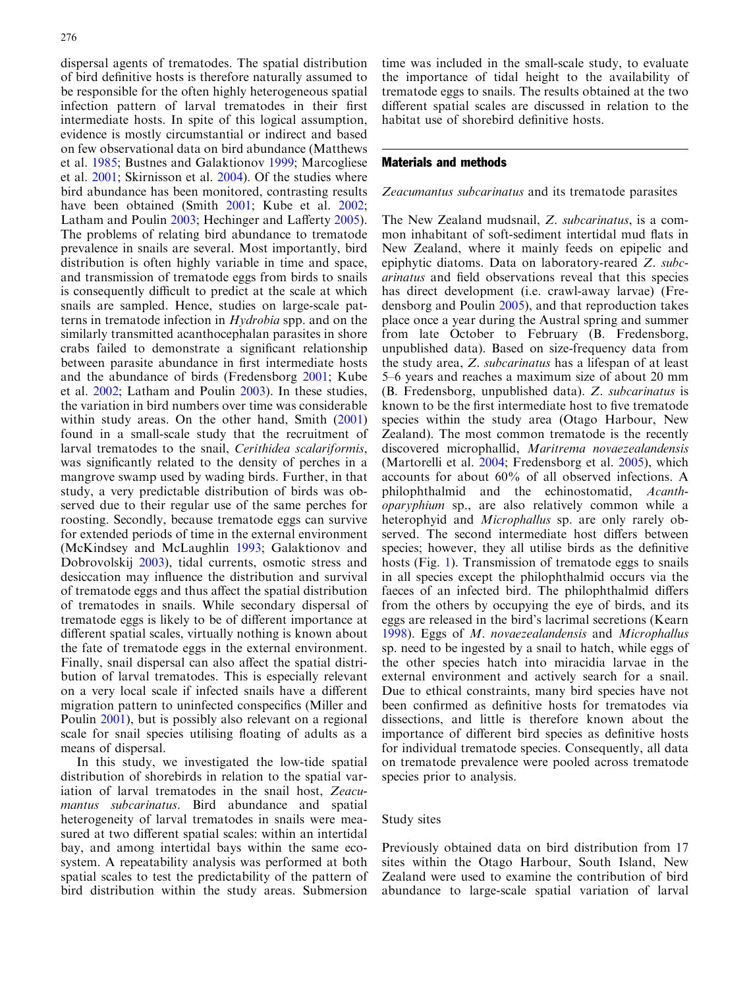dispersal agents of trematodes. The spatial distribution of bird definitive hosts is therefore naturally assumed to be responsible for the often highly heterogeneous spatial infection pattern of larval trematodes in their first intermediate hosts. In spite of this logical assumption, evidence is mostly circumstantial or indirect and based on few observational data on bird abundance (Matthews et al. [1985](#page-8-0); Bustnes and Galaktionov [1999;](#page-8-0) Marcogliese et al. [2001](#page-8-0); Skirnisson et al. [2004\)](#page-8-0). Of the studies where bird abundance has been monitored, contrasting results have been obtained (Smith [2001;](#page-8-0) Kube et al. [2002](#page-8-0); Latham and Poulin [2003;](#page-8-0) Hechinger and Lafferty [2005\)](#page-8-0). The problems of relating bird abundance to trematode prevalence in snails are several. Most importantly, bird distribution is often highly variable in time and space, and transmission of trematode eggs from birds to snails is consequently difficult to predict at the scale at which snails are sampled. Hence, studies on large-scale patterns in trematode infection in Hydrobia spp. and on the similarly transmitted acanthocephalan parasites in shore crabs failed to demonstrate a significant relationship between parasite abundance in first intermediate hosts and the abundance of birds (Fredensborg [2001;](#page-8-0) Kube et al. [2002](#page-8-0); Latham and Poulin [2003](#page-8-0)). In these studies, the variation in bird numbers over time was considerable within study areas. On the other hand, Smith [\(2001\)](#page-8-0) found in a small-scale study that the recruitment of larval trematodes to the snail, Cerithidea scalariformis, was significantly related to the density of perches in a mangrove swamp used by wading birds. Further, in that study, a very predictable distribution of birds was observed due to their regular use of the same perches for roosting. Secondly, because trematode eggs can survive for extended periods of time in the external environment (McKindsey and McLaughlin [1993;](#page-8-0) Galaktionov and Dobrovolskij [2003\)](#page-8-0), tidal currents, osmotic stress and desiccation may influence the distribution and survival of trematode eggs and thus affect the spatial distribution of trematodes in snails. While secondary dispersal of trematode eggs is likely to be of different importance at different spatial scales, virtually nothing is known about the fate of trematode eggs in the external environment. Finally, snail dispersal can also affect the spatial distribution of larval trematodes. This is especially relevant on a very local scale if infected snails have a different migration pattern to uninfected conspecifics (Miller and Poulin [2001](#page-8-0)), but is possibly also relevant on a regional scale for snail species utilising floating of adults as a means of dispersal.

In this study, we investigated the low-tide spatial distribution of shorebirds in relation to the spatial variation of larval trematodes in the snail host, Zeacumantus subcarinatus. Bird abundance and spatial heterogeneity of larval trematodes in snails were measured at two different spatial scales: within an intertidal bay, and among intertidal bays within the same ecosystem. A repeatability analysis was performed at both spatial scales to test the predictability of the pattern of bird distribution within the study areas. Submersion

time was included in the small-scale study, to evaluate the importance of tidal height to the availability of trematode eggs to snails. The results obtained at the two different spatial scales are discussed in relation to the habitat use of shorebird definitive hosts.

# Materials and methods

#### Zeacumantus subcarinatus and its trematode parasites

The New Zealand mudsnail, Z. *subcarinatus*, is a common inhabitant of soft-sediment intertidal mud flats in New Zealand, where it mainly feeds on epipelic and epiphytic diatoms. Data on laboratory-reared Z. subcarinatus and field observations reveal that this species has direct development (i.e. crawl-away larvae) (Fredensborg and Poulin [2005\)](#page-8-0), and that reproduction takes place once a year during the Austral spring and summer from late October to February (B. Fredensborg, unpublished data). Based on size-frequency data from the study area, Z. subcarinatus has a lifespan of at least 5–6 years and reaches a maximum size of about 20 mm (B. Fredensborg, unpublished data). Z. subcarinatus is known to be the first intermediate host to five trematode species within the study area (Otago Harbour, New Zealand). The most common trematode is the recently discovered microphallid, Maritrema novaezealandensis (Martorelli et al. [2004;](#page-8-0) Fredensborg et al. [2005\)](#page-8-0), which accounts for about 60% of all observed infections. A philophthalmid and the echinostomatid, Acanthoparyphium sp., are also relatively common while a heterophyid and *Microphallus* sp. are only rarely observed. The second intermediate host differs between species; however, they all utilise birds as the definitive hosts (Fig. [1](#page-2-0)). Transmission of trematode eggs to snails in all species except the philophthalmid occurs via the faeces of an infected bird. The philophthalmid differs from the others by occupying the eye of birds, and its eggs are released in the bird's lacrimal secretions (Kearn [1998\)](#page-8-0). Eggs of M. novaezealandensis and Microphallus sp. need to be ingested by a snail to hatch, while eggs of the other species hatch into miracidia larvae in the external environment and actively search for a snail. Due to ethical constraints, many bird species have not been confirmed as definitive hosts for trematodes via dissections, and little is therefore known about the importance of different bird species as definitive hosts for individual trematode species. Consequently, all data on trematode prevalence were pooled across trematode species prior to analysis.

#### Study sites

Previously obtained data on bird distribution from 17 sites within the Otago Harbour, South Island, New Zealand were used to examine the contribution of bird abundance to large-scale spatial variation of larval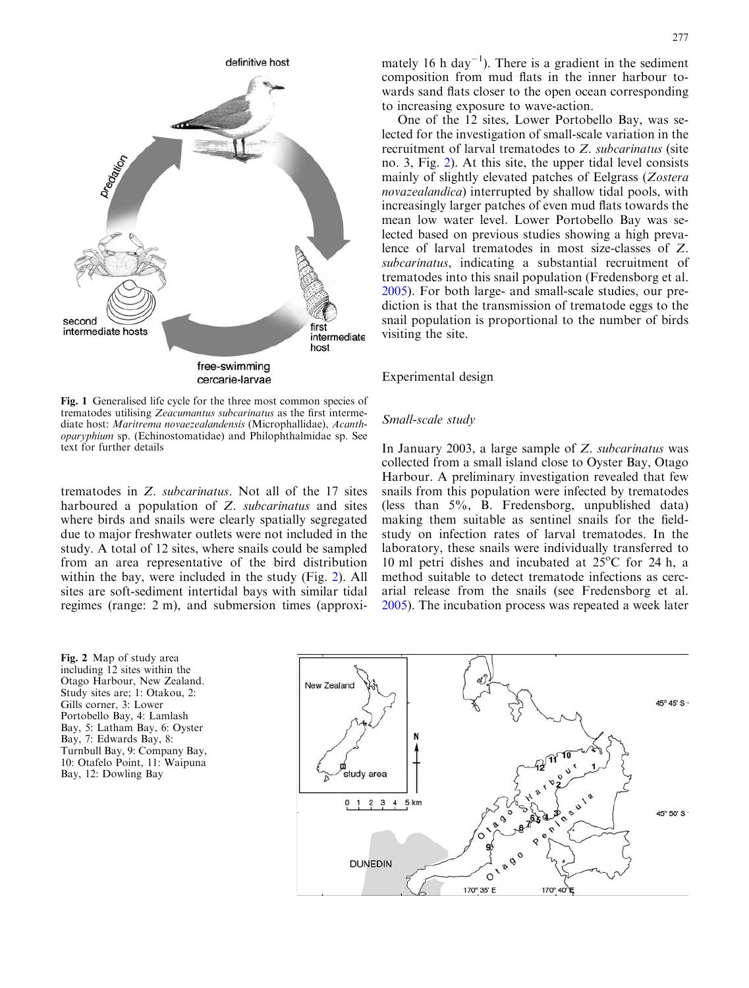<span id="page-2-0"></span>

Fig. 1 Generalised life cycle for the three most common species of trematodes utilising Zeacumantus subcarinatus as the first intermediate host: Maritrema novaezealandensis (Microphallidae), Acanthoparyphium sp. (Echinostomatidae) and Philophthalmidae sp. See text for further details

trematodes in Z. subcarinatus. Not all of the 17 sites harboured a population of Z. subcarinatus and sites where birds and snails were clearly spatially segregated due to major freshwater outlets were not included in the study. A total of 12 sites, where snails could be sampled from an area representative of the bird distribution within the bay, were included in the study (Fig. 2). All sites are soft-sediment intertidal bays with similar tidal regimes (range: 2 m), and submersion times (approxi-

Fig. 2 Map of study area including 12 sites within the Otago Harbour, New Zealand. Study sites are; 1: Otakou, 2: Gills corner, 3: Lower Portobello Bay, 4: Lamlash Bay, 5: Latham Bay, 6: Oyster Bay, 7: Edwards Bay, 8: Turnbull Bay, 9: Company Bay, 10: Otafelo Point, 11: Waipuna Bay, 12: Dowling Bay

mately 16 h day<sup>-1</sup>). There is a gradient in the sediment composition from mud flats in the inner harbour towards sand flats closer to the open ocean corresponding to increasing exposure to wave-action.

One of the 12 sites, Lower Portobello Bay, was selected for the investigation of small-scale variation in the recruitment of larval trematodes to Z. subcarinatus (site no. 3, Fig. 2). At this site, the upper tidal level consists mainly of slightly elevated patches of Eelgrass (Zostera novazealandica) interrupted by shallow tidal pools, with increasingly larger patches of even mud flats towards the mean low water level. Lower Portobello Bay was selected based on previous studies showing a high prevalence of larval trematodes in most size-classes of Z. subcarinatus, indicating a substantial recruitment of trematodes into this snail population (Fredensborg et al. [2005\)](#page-8-0). For both large- and small-scale studies, our prediction is that the transmission of trematode eggs to the snail population is proportional to the number of birds visiting the site.

Experimental design

### Small-scale study

In January 2003, a large sample of Z. subcarinatus was collected from a small island close to Oyster Bay, Otago Harbour. A preliminary investigation revealed that few snails from this population were infected by trematodes (less than 5%, B. Fredensborg, unpublished data) making them suitable as sentinel snails for the fieldstudy on infection rates of larval trematodes. In the laboratory, these snails were individually transferred to 10 ml petri dishes and incubated at  $25^{\circ}$ C for 24 h, a method suitable to detect trematode infections as cercarial release from the snails (see Fredensborg et al. [2005\)](#page-8-0). The incubation process was repeated a week later

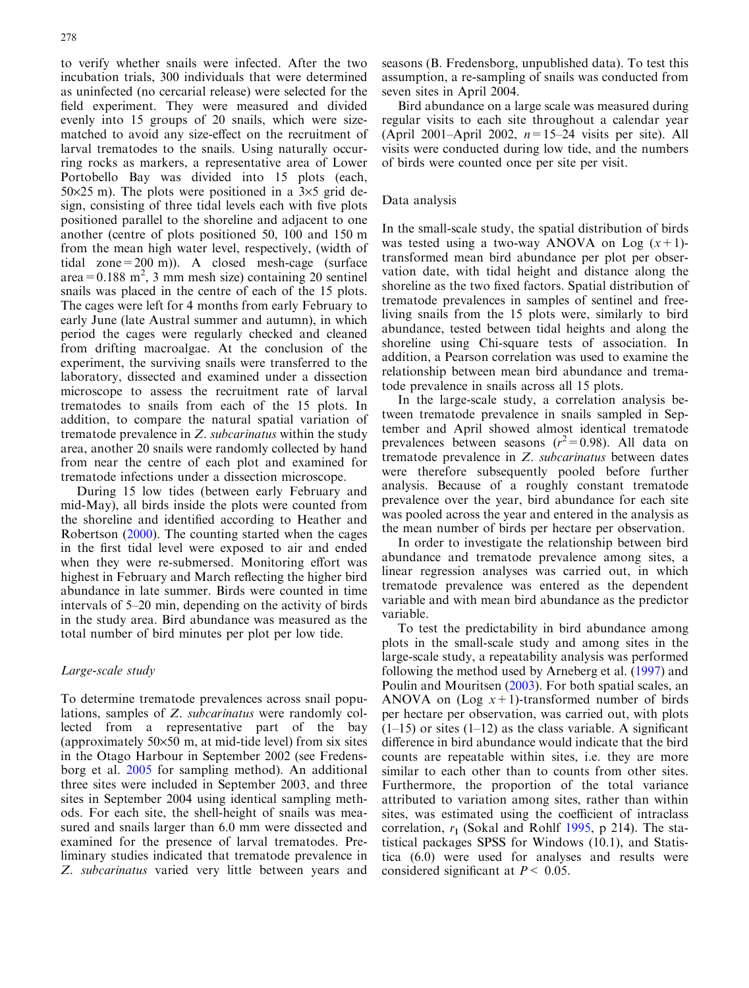to verify whether snails were infected. After the two incubation trials, 300 individuals that were determined as uninfected (no cercarial release) were selected for the field experiment. They were measured and divided evenly into 15 groups of 20 snails, which were sizematched to avoid any size-effect on the recruitment of larval trematodes to the snails. Using naturally occurring rocks as markers, a representative area of Lower Portobello Bay was divided into 15 plots (each, 50 $\times$ 25 m). The plots were positioned in a 3 $\times$ 5 grid design, consisting of three tidal levels each with five plots positioned parallel to the shoreline and adjacent to one another (centre of plots positioned 50, 100 and 150 m from the mean high water level, respectively, (width of tidal zone=200 m)). A closed mesh-cage (surface area = 0.188 m<sup>2</sup>, 3 mm mesh size) containing 20 sentinel snails was placed in the centre of each of the 15 plots. The cages were left for 4 months from early February to early June (late Austral summer and autumn), in which period the cages were regularly checked and cleaned from drifting macroalgae. At the conclusion of the experiment, the surviving snails were transferred to the laboratory, dissected and examined under a dissection microscope to assess the recruitment rate of larval trematodes to snails from each of the 15 plots. In addition, to compare the natural spatial variation of trematode prevalence in Z. subcarinatus within the study area, another 20 snails were randomly collected by hand from near the centre of each plot and examined for trematode infections under a dissection microscope.

During 15 low tides (between early February and mid-May), all birds inside the plots were counted from the shoreline and identified according to Heather and Robertson ([2000](#page-8-0)). The counting started when the cages in the first tidal level were exposed to air and ended when they were re-submersed. Monitoring effort was highest in February and March reflecting the higher bird abundance in late summer. Birds were counted in time intervals of 5–20 min, depending on the activity of birds in the study area. Bird abundance was measured as the total number of bird minutes per plot per low tide.

# Large-scale study

To determine trematode prevalences across snail populations, samples of Z. subcarinatus were randomly collected from a representative part of the bay (approximately  $50 \times 50$  m, at mid-tide level) from six sites in the Otago Harbour in September 2002 (see Fredensborg et al. [2005](#page-8-0) for sampling method). An additional three sites were included in September 2003, and three sites in September 2004 using identical sampling methods. For each site, the shell-height of snails was measured and snails larger than 6.0 mm were dissected and examined for the presence of larval trematodes. Preliminary studies indicated that trematode prevalence in Z. subcarinatus varied very little between years and

seasons (B. Fredensborg, unpublished data). To test this assumption, a re-sampling of snails was conducted from seven sites in April 2004.

Bird abundance on a large scale was measured during regular visits to each site throughout a calendar year (April 2001–April 2002,  $n=15-24$  visits per site). All visits were conducted during low tide, and the numbers of birds were counted once per site per visit.

# Data analysis

In the small-scale study, the spatial distribution of birds was tested using a two-way ANOVA on Log  $(x+1)$ transformed mean bird abundance per plot per observation date, with tidal height and distance along the shoreline as the two fixed factors. Spatial distribution of trematode prevalences in samples of sentinel and freeliving snails from the 15 plots were, similarly to bird abundance, tested between tidal heights and along the shoreline using Chi-square tests of association. In addition, a Pearson correlation was used to examine the relationship between mean bird abundance and trematode prevalence in snails across all 15 plots.

In the large-scale study, a correlation analysis between trematode prevalence in snails sampled in September and April showed almost identical trematode prevalences between seasons  $(r^2 = 0.98)$ . All data on trematode prevalence in Z. subcarinatus between dates were therefore subsequently pooled before further analysis. Because of a roughly constant trematode prevalence over the year, bird abundance for each site was pooled across the year and entered in the analysis as the mean number of birds per hectare per observation.

In order to investigate the relationship between bird abundance and trematode prevalence among sites, a linear regression analyses was carried out, in which trematode prevalence was entered as the dependent variable and with mean bird abundance as the predictor variable.

To test the predictability in bird abundance among plots in the small-scale study and among sites in the large-scale study, a repeatability analysis was performed following the method used by Arneberg et al. ([1997\)](#page-8-0) and Poulin and Mouritsen ([2003\)](#page-8-0). For both spatial scales, an ANOVA on  $(Log x+1)$ -transformed number of birds per hectare per observation, was carried out, with plots  $(1-15)$  or sites  $(1-12)$  as the class variable. A significant difference in bird abundance would indicate that the bird counts are repeatable within sites, i.e. they are more similar to each other than to counts from other sites. Furthermore, the proportion of the total variance attributed to variation among sites, rather than within sites, was estimated using the coefficient of intraclass correlation,  $r_I$  (Sokal and Rohlf [1995](#page-8-0), p 214). The statistical packages SPSS for Windows (10.1), and Statistica (6.0) were used for analyses and results were considered significant at  $P < 0.05$ .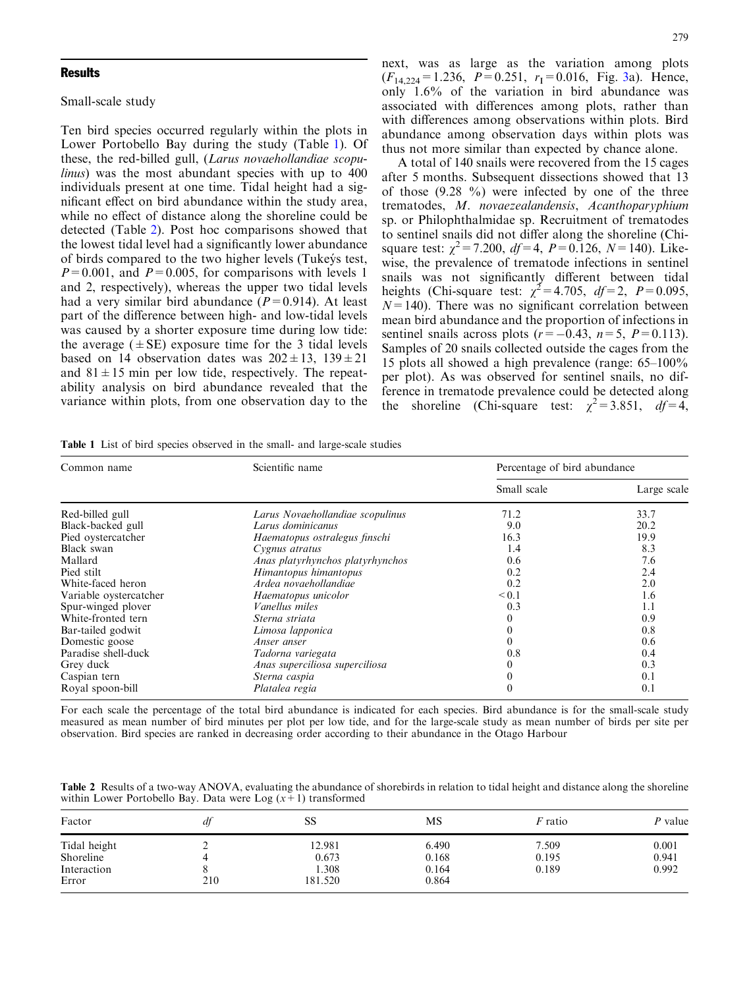#### <span id="page-4-0"></span>Results

# Small-scale study

Ten bird species occurred regularly within the plots in Lower Portobello Bay during the study (Table 1). Of these, the red-billed gull, (Larus novaehollandiae scopulinus) was the most abundant species with up to 400 individuals present at one time. Tidal height had a significant effect on bird abundance within the study area, while no effect of distance along the shoreline could be detected (Table 2). Post hoc comparisons showed that the lowest tidal level had a significantly lower abundance of birds compared to the two higher levels (Tukey's test,  $P=0.001$ , and  $P=0.005$ , for comparisons with levels 1 and 2, respectively), whereas the upper two tidal levels had a very similar bird abundance  $(P=0.914)$ . At least part of the difference between high- and low-tidal levels was caused by a shorter exposure time during low tide: the average  $(\pm SE)$  exposure time for the 3 tidal levels based on 14 observation dates was  $202 \pm 13$ ,  $139 \pm 21$ and  $81 \pm 15$  min per low tide, respectively. The repeatability analysis on bird abundance revealed that the variance within plots, from one observation day to the

next, was as large as the variation among plots  $(F_{14,224}=1.236, P=0.251, r_1=0.016, Fig. 3a)$  $(F_{14,224}=1.236, P=0.251, r_1=0.016, Fig. 3a)$  $(F_{14,224}=1.236, P=0.251, r_1=0.016, Fig. 3a)$ . Hence, only 1.6% of the variation in bird abundance was associated with differences among plots, rather than with differences among observations within plots. Bird abundance among observation days within plots was thus not more similar than expected by chance alone.

A total of 140 snails were recovered from the 15 cages after 5 months. Subsequent dissections showed that 13 of those  $(9.28 \text{ %})$  were infected by one of the three trematodes, M. novaezealandensis, Acanthoparyphium sp. or Philophthalmidae sp. Recruitment of trematodes to sentinel snails did not differ along the shoreline (Chisquare test:  $\chi^2$  = 7.200, df = 4, P = 0.126, N = 140). Likewise, the prevalence of trematode infections in sentinel snails was not significantly different between tidal heights (Chi-square test:  $\chi^2 = 4.705$ ,  $df = 2$ ,  $P = 0.095$ ,  $N=140$ ). There was no significant correlation between mean bird abundance and the proportion of infections in sentinel snails across plots  $(r=-0.43, n=5, P=0.113)$ . Samples of 20 snails collected outside the cages from the 15 plots all showed a high prevalence (range: 65–100% per plot). As was observed for sentinel snails, no difference in trematode prevalence could be detected along the shoreline (Chi-square test:  $\chi^2 = 3.851$ ,  $df = 4$ ,

Table 1 List of bird species observed in the small- and large-scale studies

| Common name            | Scientific name                  | Percentage of bird abundance |             |  |
|------------------------|----------------------------------|------------------------------|-------------|--|
|                        |                                  | Small scale                  | Large scale |  |
| Red-billed gull        | Larus Novaehollandiae scopulinus | 71.2                         | 33.7        |  |
| Black-backed gull      | Larus dominicanus                | 9.0                          | 20.2        |  |
| Pied oystercatcher     | Haematopus ostralegus finschi    | 16.3                         | 19.9        |  |
| Black swan             | Cygnus atratus                   | 1.4                          | 8.3         |  |
| Mallard                | Anas platyrhynchos platyrhynchos | 0.6                          | 7.6         |  |
| Pied stilt             | Himantopus himantopus            | 0.2                          | 2.4         |  |
| White-faced heron      | Ardea novaehollandiae            | 0.2                          | 2.0         |  |
| Variable oystercatcher | Haematopus unicolor              | ${}_{0.1}$                   | 1.6         |  |
| Spur-winged plover     | Vanellus miles                   | 0.3                          | 1.1         |  |
| White-fronted tern     | Sterna striata                   |                              | 0.9         |  |
| Bar-tailed godwit      | Limosa lapponica                 |                              | 0.8         |  |
| Domestic goose         | Anser anser                      |                              | 0.6         |  |
| Paradise shell-duck    | Tadorna variegata                | 0.8                          | 0.4         |  |
| Grey duck              | Anas superciliosa superciliosa   |                              | 0.3         |  |
| Caspian tern           | Sterna caspia                    |                              | 0.1         |  |
| Royal spoon-bill       | Platalea regia                   |                              | 0.1         |  |

For each scale the percentage of the total bird abundance is indicated for each species. Bird abundance is for the small-scale study measured as mean number of bird minutes per plot per low tide, and for the large-scale study as mean number of birds per site per observation. Bird species are ranked in decreasing order according to their abundance in the Otago Harbour

Table 2 Results of a two-way ANOVA, evaluating the abundance of shorebirds in relation to tidal height and distance along the shoreline within Lower Portobello Bay. Data were Log  $(x+1)$  transformed

| Factor                    | a   | SS              | MS             | <i>F</i> ratio | P value        |
|---------------------------|-----|-----------------|----------------|----------------|----------------|
| Tidal height<br>Shoreline |     | 12.981<br>0.673 | 6.490<br>0.168 | 7.509<br>0.195 | 0.001<br>0.941 |
| Interaction<br>Error      | 210 | .308<br>181.520 | 0.164<br>0.864 | 0.189          | 0.992          |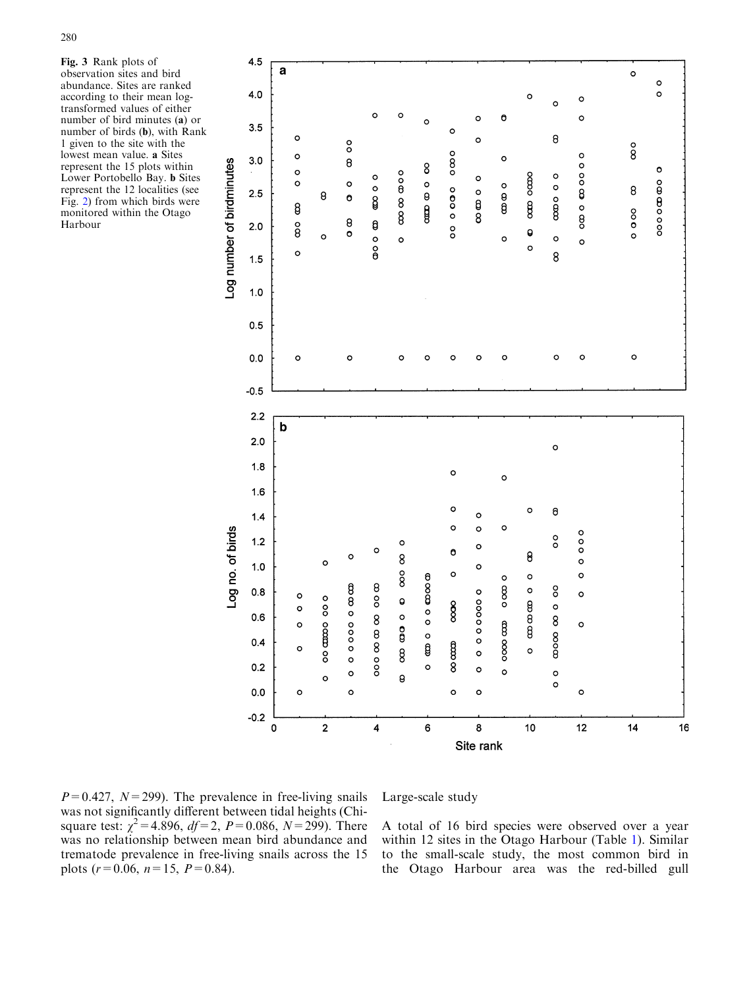<span id="page-5-0"></span>Fig. 3 Rank plots of observation sites and bird abundance. Sites are ranked according to their mean logtransformed values of either number of bird minutes (a) or number of birds (b), with Rank 1 given to the site with the lowest mean value. a Sites represent the 15 plots within Lower Portobello Bay. b Sites represent the 12 localities (see Fig. [2\)](#page-2-0) from which birds were monitored within the Otago Harbour



 $P=0.427$ ,  $N=299$ ). The prevalence in free-living snails was not significantly different between tidal heights (Chisquare test:  $\chi^2$  = 4.896,  $df$  = 2, P = 0.086, N = 299). There was no relationship between mean bird abundance and trematode prevalence in free-living snails across the 15 plots ( $r=0.06$ ,  $n=15$ ,  $P=0.84$ ).

## Large-scale study

A total of 16 bird species were observed over a year within 12 sites in the Otago Harbour (Table [1](#page-4-0)). Similar to the small-scale study, the most common bird in the Otago Harbour area was the red-billed gull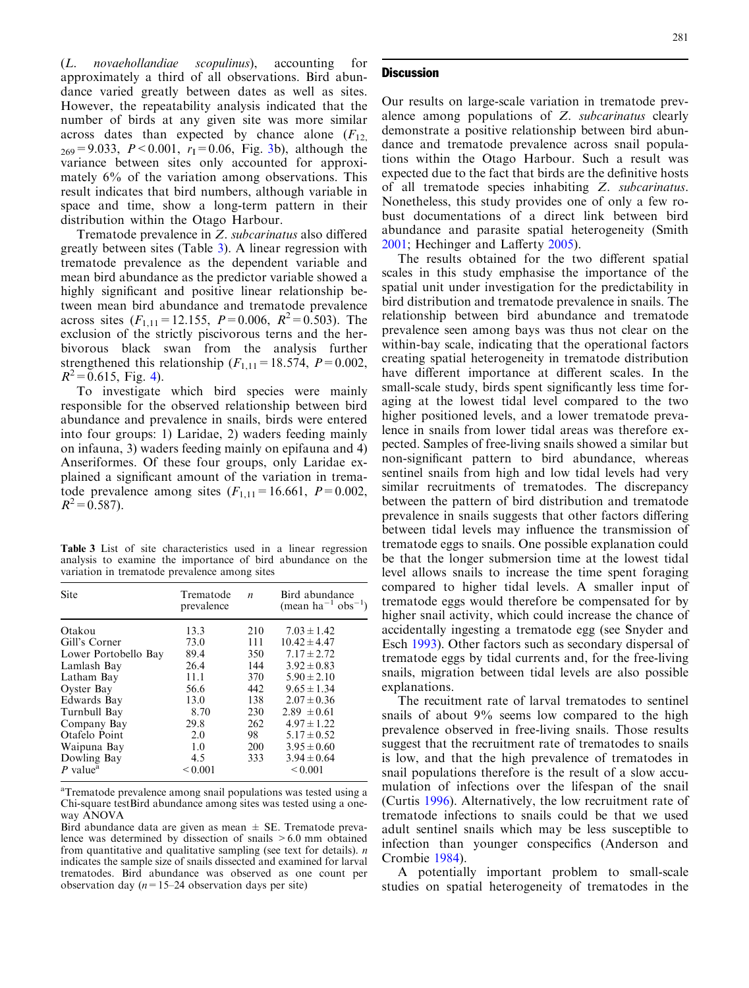(L. novaehollandiae scopulinus), accounting for approximately a third of all observations. Bird abundance varied greatly between dates as well as sites. However, the repeatability analysis indicated that the number of birds at any given site was more similar across dates than expected by chance alone  $(F_{12})$  $r_269$ =9.033, P < 0.001,  $r_1$ =0.06, Fig. [3b](#page-5-0)), although the variance between sites only accounted for approximately 6% of the variation among observations. This result indicates that bird numbers, although variable in space and time, show a long-term pattern in their distribution within the Otago Harbour.

Trematode prevalence in Z. subcarinatus also differed greatly between sites (Table 3). A linear regression with trematode prevalence as the dependent variable and mean bird abundance as the predictor variable showed a highly significant and positive linear relationship between mean bird abundance and trematode prevalence across sites  $(F_{1,11} = 12.155, P = 0.006, R^2 = 0.503)$ . The exclusion of the strictly piscivorous terns and the herbivorous black swan from the analysis further strengthened this relationship ( $F_{1,11} = 18.574$ ,  $P = 0.002$ ,  $R^2 = 0.615$ , Fig. [4](#page-7-0)).

To investigate which bird species were mainly responsible for the observed relationship between bird abundance and prevalence in snails, birds were entered into four groups: 1) Laridae, 2) waders feeding mainly on infauna, 3) waders feeding mainly on epifauna and 4) Anseriformes. Of these four groups, only Laridae explained a significant amount of the variation in trematode prevalence among sites  $(F_{1,11}=16.661, P=0.002,$  $R^2 = 0.587$ .

Table 3 List of site characteristics used in a linear regression analysis to examine the importance of bird abundance on the variation in trematode prevalence among sites

| <b>Site</b>            | Trematode<br>prevalence | $\boldsymbol{n}$ | Bird abundance<br>(mean $ha^{-1}$ obs <sup>-1</sup> ) |
|------------------------|-------------------------|------------------|-------------------------------------------------------|
| Otakou                 | 13.3                    | 210              | $7.03 \pm 1.42$                                       |
| Gill's Corner          | 73.0                    | 111              | $10.42 \pm 4.47$                                      |
| Lower Portobello Bay   | 89.4                    | 350              | $7.17 \pm 2.72$                                       |
| Lamlash Bay            | 26.4                    | 144              | $3.92 \pm 0.83$                                       |
| Latham Bay             | 11.1                    | 370              | $5.90 \pm 2.10$                                       |
| Oyster Bay             | 56.6                    | 442              | $9.65 \pm 1.34$                                       |
| Edwards Bay            | 13.0                    | 138              | $2.07 \pm 0.36$                                       |
| Turnbull Bay           | 8.70                    | 230              | $2.89 \pm 0.61$                                       |
| Company Bay            | 29.8                    | 262              | $4.97 \pm 1.22$                                       |
| Otafelo Point          | 2.0                     | 98               | $5.17 \pm 0.52$                                       |
| Waipuna Bay            | 1.0                     | 200              | $3.95 \pm 0.60$                                       |
| Dowling Bay            | 4.5                     | 333              | $3.94 \pm 0.64$                                       |
| $P$ value <sup>a</sup> | ${}_{0.001}$            |                  | ${}_{0.001}$                                          |

<sup>a</sup>Trematode prevalence among snail populations was tested using a Chi-square testBird abundance among sites was tested using a oneway ANOVA

Bird abundance data are given as mean  $\pm$  SE. Trematode prevalence was determined by dissection of snails >6.0 mm obtained from quantitative and qualitative sampling (see text for details).  $n$ indicates the sample size of snails dissected and examined for larval trematodes. Bird abundance was observed as one count per observation day ( $n=15-24$  observation days per site)

## **Discussion**

Our results on large-scale variation in trematode prevalence among populations of Z. subcarinatus clearly demonstrate a positive relationship between bird abundance and trematode prevalence across snail populations within the Otago Harbour. Such a result was expected due to the fact that birds are the definitive hosts of all trematode species inhabiting Z. subcarinatus. Nonetheless, this study provides one of only a few robust documentations of a direct link between bird abundance and parasite spatial heterogeneity (Smith [2001;](#page-8-0) Hechinger and Lafferty [2005\)](#page-8-0).

The results obtained for the two different spatial scales in this study emphasise the importance of the spatial unit under investigation for the predictability in bird distribution and trematode prevalence in snails. The relationship between bird abundance and trematode prevalence seen among bays was thus not clear on the within-bay scale, indicating that the operational factors creating spatial heterogeneity in trematode distribution have different importance at different scales. In the small-scale study, birds spent significantly less time foraging at the lowest tidal level compared to the two higher positioned levels, and a lower trematode prevalence in snails from lower tidal areas was therefore expected. Samples of free-living snails showed a similar but non-significant pattern to bird abundance, whereas sentinel snails from high and low tidal levels had very similar recruitments of trematodes. The discrepancy between the pattern of bird distribution and trematode prevalence in snails suggests that other factors differing between tidal levels may influence the transmission of trematode eggs to snails. One possible explanation could be that the longer submersion time at the lowest tidal level allows snails to increase the time spent foraging compared to higher tidal levels. A smaller input of trematode eggs would therefore be compensated for by higher snail activity, which could increase the chance of accidentally ingesting a trematode egg (see Snyder and Esch [1993](#page-8-0)). Other factors such as secondary dispersal of trematode eggs by tidal currents and, for the free-living snails, migration between tidal levels are also possible explanations.

The recuitment rate of larval trematodes to sentinel snails of about 9% seems low compared to the high prevalence observed in free-living snails. Those results suggest that the recruitment rate of trematodes to snails is low, and that the high prevalence of trematodes in snail populations therefore is the result of a slow accumulation of infections over the lifespan of the snail (Curtis [1996](#page-8-0)). Alternatively, the low recruitment rate of trematode infections to snails could be that we used adult sentinel snails which may be less susceptible to infection than younger conspecifics (Anderson and Crombie [1984\)](#page-8-0).

A potentially important problem to small-scale studies on spatial heterogeneity of trematodes in the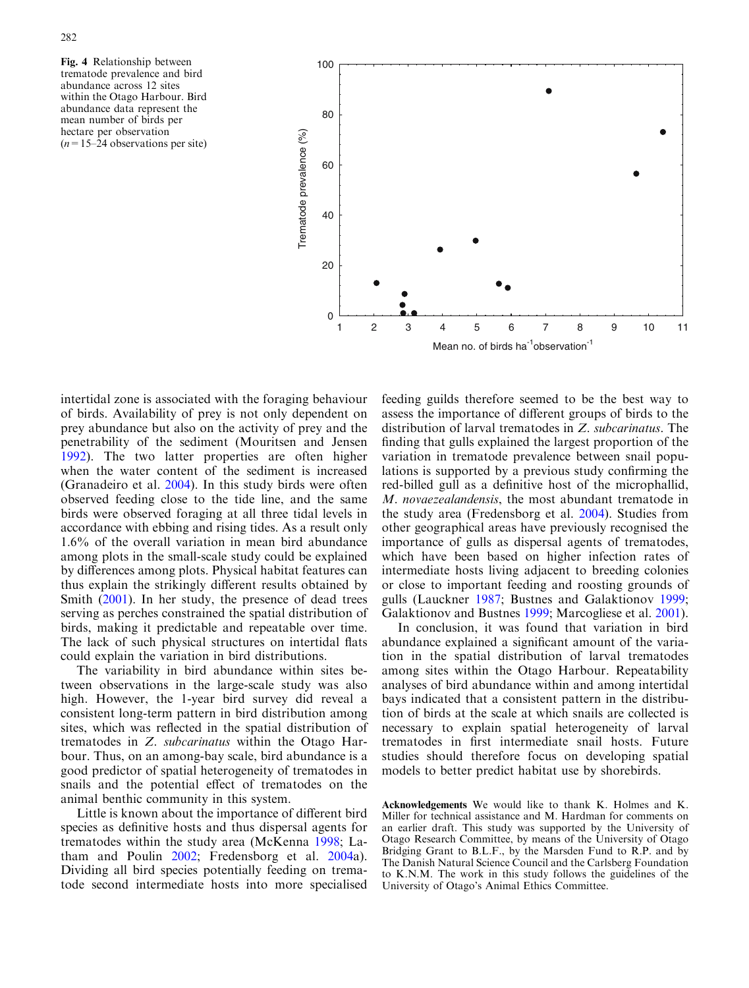<span id="page-7-0"></span>Fig. 4 Relationship between trematode prevalence and bird abundance across 12 sites within the Otago Harbour. Bird abundance data represent the mean number of birds per hectare per observation  $(n=15-24$  observations per site)



intertidal zone is associated with the foraging behaviour of birds. Availability of prey is not only dependent on prey abundance but also on the activity of prey and the penetrability of the sediment (Mouritsen and Jensen [1992](#page-8-0)). The two latter properties are often higher when the water content of the sediment is increased (Granadeiro et al. [2004](#page-8-0)). In this study birds were often observed feeding close to the tide line, and the same birds were observed foraging at all three tidal levels in accordance with ebbing and rising tides. As a result only 1.6% of the overall variation in mean bird abundance among plots in the small-scale study could be explained by differences among plots. Physical habitat features can thus explain the strikingly different results obtained by Smith ([2001\)](#page-8-0). In her study, the presence of dead trees serving as perches constrained the spatial distribution of birds, making it predictable and repeatable over time. The lack of such physical structures on intertidal flats could explain the variation in bird distributions.

The variability in bird abundance within sites between observations in the large-scale study was also high. However, the 1-year bird survey did reveal a consistent long-term pattern in bird distribution among sites, which was reflected in the spatial distribution of trematodes in Z. subcarinatus within the Otago Harbour. Thus, on an among-bay scale, bird abundance is a good predictor of spatial heterogeneity of trematodes in snails and the potential effect of trematodes on the animal benthic community in this system.

Little is known about the importance of different bird species as definitive hosts and thus dispersal agents for trematodes within the study area (McKenna [1998](#page-8-0); Latham and Poulin [2002;](#page-8-0) Fredensborg et al. [2004a](#page-8-0)). Dividing all bird species potentially feeding on trematode second intermediate hosts into more specialised feeding guilds therefore seemed to be the best way to assess the importance of different groups of birds to the distribution of larval trematodes in Z. *subcarinatus*. The finding that gulls explained the largest proportion of the variation in trematode prevalence between snail populations is supported by a previous study confirming the red-billed gull as a definitive host of the microphallid, M. novaezealandensis, the most abundant trematode in the study area (Fredensborg et al. [2004](#page-8-0)). Studies from other geographical areas have previously recognised the importance of gulls as dispersal agents of trematodes, which have been based on higher infection rates of intermediate hosts living adjacent to breeding colonies or close to important feeding and roosting grounds of gulls (Lauckner [1987;](#page-8-0) Bustnes and Galaktionov [1999](#page-8-0); Galaktionov and Bustnes [1999](#page-8-0); Marcogliese et al. [2001\)](#page-8-0).

In conclusion, it was found that variation in bird abundance explained a significant amount of the variation in the spatial distribution of larval trematodes among sites within the Otago Harbour. Repeatability analyses of bird abundance within and among intertidal bays indicated that a consistent pattern in the distribution of birds at the scale at which snails are collected is necessary to explain spatial heterogeneity of larval trematodes in first intermediate snail hosts. Future studies should therefore focus on developing spatial models to better predict habitat use by shorebirds.

Acknowledgements We would like to thank K. Holmes and K. Miller for technical assistance and M. Hardman for comments on an earlier draft. This study was supported by the University of Otago Research Committee, by means of the University of Otago Bridging Grant to B.L.F., by the Marsden Fund to R.P. and by The Danish Natural Science Council and the Carlsberg Foundation to K.N.M. The work in this study follows the guidelines of the University of Otago's Animal Ethics Committee.